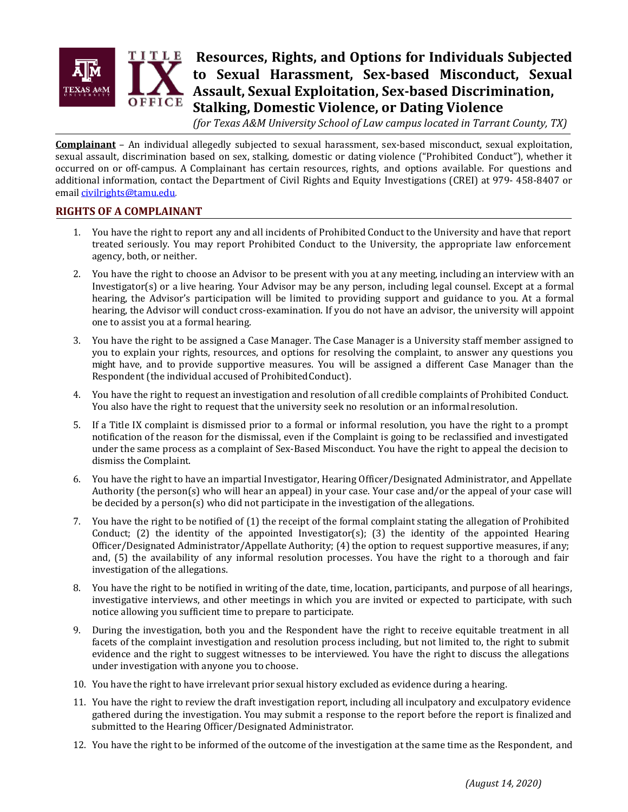

# **Resources, Rights, and Options for Individuals Subjected to Sexual Harassment, Sex-based Misconduct, Sexual Assault, Sexual Exploitation, Sex-based Discrimination, Stalking, Domestic Violence, or Dating Violence**

*(for Texas A&M University School of Law campus located in Tarrant County, TX)* 

**Complainant** – An individual allegedly subjected to sexual harassment, sex-based misconduct, sexual exploitation, sexual assault, discrimination based on sex, stalking, domestic or dating violence ("Prohibited Conduct"), whether it occurred on or off-campus. A Complainant has certain resources, rights, and options available. For questions and additional information, contact the Department of Civil Rights and Equity Investigations (CREI) at 979- 458-8407 or email [civilrights@tamu.edu.](mailto:civilrights@tamu.edu)

## **RIGHTS OF A COMPLAINANT**

- 1. You have the right to report any and all incidents of Prohibited Conduct to the University and have that report treated seriously. You may report Prohibited Conduct to the University, the appropriate law enforcement agency, both, or neither.
- 2. You have the right to choose an Advisor to be present with you at any meeting, including an interview with an Investigator(s) or a live hearing. Your Advisor may be any person, including legal counsel. Except at a formal hearing, the Advisor's participation will be limited to providing support and guidance to you. At a formal hearing, the Advisor will conduct cross-examination. If you do not have an advisor, the university will appoint one to assist you at a formal hearing.
- 3. You have the right to be assigned a Case Manager. The Case Manager is a University staff member assigned to you to explain your rights, resources, and options for resolving the complaint, to answer any questions you might have, and to provide supportive measures. You will be assigned a different Case Manager than the Respondent (the individual accused of ProhibitedConduct).
- 4. You have the right to request an investigation and resolution of all credible complaints of Prohibited Conduct. You also have the right to request that the university seek no resolution or an informal resolution.
- 5. If a Title IX complaint is dismissed prior to a formal or informal resolution, you have the right to a prompt notification of the reason for the dismissal, even if the Complaint is going to be reclassified and investigated under the same process as a complaint of Sex-Based Misconduct. You have the right to appeal the decision to dismiss the Complaint.
- 6. You have the right to have an impartial Investigator, Hearing Officer/Designated Administrator, and Appellate Authority (the person(s) who will hear an appeal) in your case. Your case and/or the appeal of your case will be decided by a person(s) who did not participate in the investigation of the allegations.
- 7. You have the right to be notified of (1) the receipt of the formal complaint stating the allegation of Prohibited Conduct; (2) the identity of the appointed Investigator(s); (3) the identity of the appointed Hearing Officer/Designated Administrator/Appellate Authority; (4) the option to request supportive measures, if any; and, (5) the availability of any informal resolution processes. You have the right to a thorough and fair investigation of the allegations.
- 8. You have the right to be notified in writing of the date, time, location, participants, and purpose of all hearings, investigative interviews, and other meetings in which you are invited or expected to participate, with such notice allowing you sufficient time to prepare to participate.
- 9. During the investigation, both you and the Respondent have the right to receive equitable treatment in all facets of the complaint investigation and resolution process including, but not limited to, the right to submit evidence and the right to suggest witnesses to be interviewed. You have the right to discuss the allegations under investigation with anyone you to choose.
- 10. You have the right to have irrelevant prior sexual history excluded as evidence during a hearing.
- 11. You have the right to review the draft investigation report, including all inculpatory and exculpatory evidence gathered during the investigation. You may submit a response to the report before the report is finalized and submitted to the Hearing Officer/Designated Administrator.
- 12. You have the right to be informed of the outcome of the investigation at the same time as the Respondent, and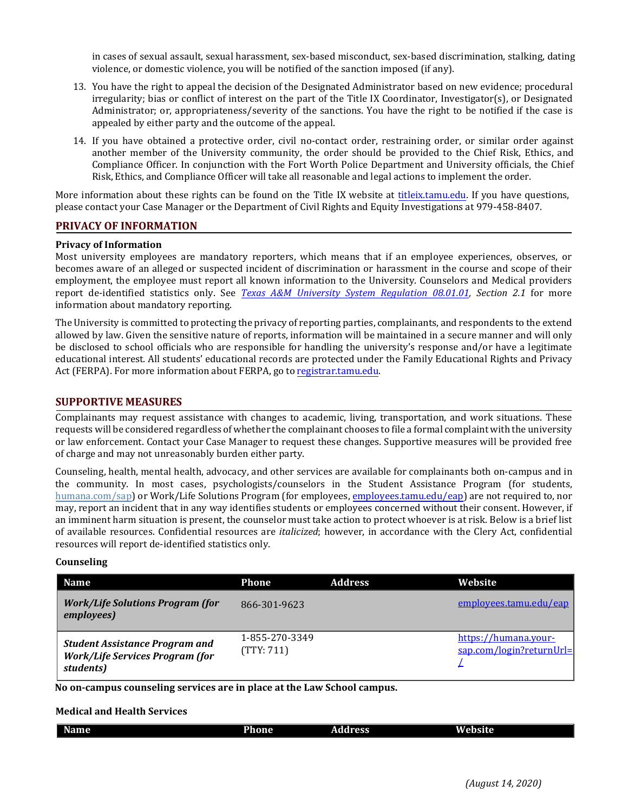in cases of sexual assault, sexual harassment, sex-based misconduct, sex-based discrimination, stalking, dating violence, or domestic violence, you will be notified of the sanction imposed (if any).

- 13. You have the right to appeal the decision of the Designated Administrator based on new evidence; procedural irregularity; bias or conflict of interest on the part of the Title IX Coordinator, Investigator(s), or Designated Administrator; or, appropriateness/severity of the sanctions. You have the right to be notified if the case is appealed by either party and the outcome of the appeal.
- 14. If you have obtained a protective order, civil no-contact order, restraining order, or similar order against another member of the University community, the order should be provided to the Chief Risk, Ethics, and Compliance Officer. In conjunction with the Fort Worth Police Department and University officials, the Chief Risk, Ethics, and Compliance Officer will take all reasonable and legal actions to implement the order.

More information about these rights can be found on the Title IX website at [titleix.tamu.edu. If](https://urc.tamu.edu/title-ix/) you have questions, please contact your Case Manager or the Department of Civil Rights and Equity Investigations at 979-458-8407.

## **PRIVACY OF INFORMATION**

#### **Privacy of Information**

Most university employees are mandatory reporters, which means that if an employee experiences, observes, or becomes aware of an alleged or suspected incident of discrimination or harassment in the course and scope of their employment, the employee must report all known information to the University. Counselors and Medical providers report de-identified statistics only. See *Texas A&M University [System Regulation 08.01.01,](https://policies.tamus.edu/08-01-01.pdf) Section 2.1* for more information about mandatory reporting.

The University is committed to protecting the privacy of reporting parties, complainants, and respondents to the extend allowed by law. Given the sensitive nature of reports, information will be maintained in a secure manner and will only be disclosed to school officials who are responsible for handling the university's response and/or have a legitimate educational interest. All students' educational records are protected under the Family Educational Rights and Privacy Act (FERPA). For more information about FERPA, go to [registrar.tamu.edu.](http://registrar.tamu.edu/)

## **SUPPORTIVE MEASURES**

Complainants may request assistance with changes to academic, living, transportation, and work situations. These requests will be considered regardless of whether the complainant chooses to file a formal complaint with the university or law enforcement. Contact your Case Manager to request these changes. Supportive measures will be provided free of charge and may not unreasonably burden either party.

Counseling, health, mental health, advocacy, and other services are available for complainants both on-campus and in the community. In most cases, psychologists/counselors in the Student Assistance Program (for students, [humana.com/sap\)](http://www.humana.com/sap) or Work/Life Solutions Program (for employees, [employees.tamu.edu/eap\) ar](http://employees.tamu.edu/eap)e not required to, nor may, report an incident that in any way identifies students or employees concerned without their consent. However, if an imminent harm situation is present, the counselor must take action to protect whoever is at risk. Below is a brief list of available resources. Confidential resources are *italicized*; however, in accordance with the Clery Act, confidential resources will report de-identified statistics only.

## **Counseling**

| <b>Name</b>                                                                                  | Phone                        | <b>Address</b> | Website                                          |
|----------------------------------------------------------------------------------------------|------------------------------|----------------|--------------------------------------------------|
| <b>Work/Life Solutions Program (for</b><br>employees)                                        | 866-301-9623                 |                | employees.tamu.edu/eap                           |
| <b>Student Assistance Program and</b><br><b>Work/Life Services Program (for</b><br>students) | 1-855-270-3349<br>(TTY: 711) |                | https://humana.your-<br>sap.com/login?returnUrl= |

**No on-campus counseling services are in place at the Law School campus.**

#### **Medical and Health Services**

| Name | Phone | ___<br>Address | <b>Website</b> |
|------|-------|----------------|----------------|
|      |       |                |                |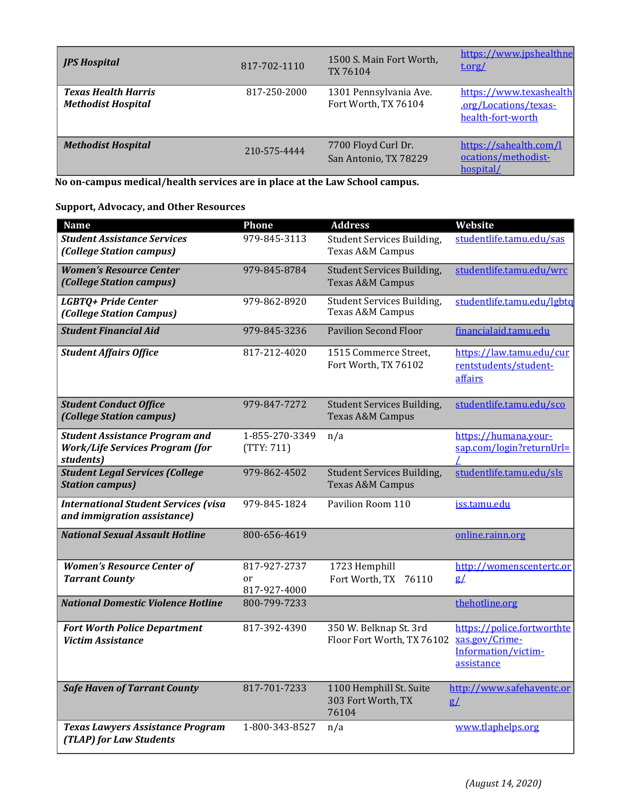| <b>JPS Hospital</b>                                     | 817-702-1110 | 1500 S. Main Fort Worth,<br>TX 76104           | https://www.jpshealthne<br>t.org/                                     |
|---------------------------------------------------------|--------------|------------------------------------------------|-----------------------------------------------------------------------|
| <b>Texas Health Harris</b><br><b>Methodist Hospital</b> | 817-250-2000 | 1301 Pennsylvania Ave.<br>Fort Worth, TX 76104 | https://www.texashealth<br>.org/Locations/texas-<br>health-fort-worth |
| <b>Methodist Hospital</b>                               | 210-575-4444 | 7700 Floyd Curl Dr.<br>San Antonio, TX 78229   | https://sahealth.com/l<br>ocations/methodist-<br>hospital/            |

**No on-campus medical/health services are in place at the Law School campus.**

# **Support, Advocacy, and Other Resources**

| <b>Name</b>                                                                                  | <b>Phone</b>                 | <b>Address</b>                                            | <b>Website</b>                                                                    |
|----------------------------------------------------------------------------------------------|------------------------------|-----------------------------------------------------------|-----------------------------------------------------------------------------------|
| <b>Student Assistance Services</b><br>(College Station campus)                               | 979-845-3113                 | Student Services Building,<br>Texas A&M Campus            | studentlife.tamu.edu/sas                                                          |
| <b>Women's Resource Center</b><br>(College Station campus)                                   | 979-845-8784                 | Student Services Building,<br>Texas A&M Campus            | studentlife.tamu.edu/wrc                                                          |
| LGBTQ+ Pride Center<br>(College Station Campus)                                              | 979-862-8920                 | <b>Student Services Building,</b><br>Texas A&M Campus     | studentlife.tamu.edu/lgbtq                                                        |
| <b>Student Financial Aid</b>                                                                 | 979-845-3236                 | <b>Pavilion Second Floor</b>                              | financialaid.tamu.edu                                                             |
| <b>Student Affairs Office</b>                                                                | 817-212-4020                 | 1515 Commerce Street,<br>Fort Worth, TX 76102             | https://law.tamu.edu/cur<br>rentstudents/student-<br>affairs                      |
| <b>Student Conduct Office</b><br>(College Station campus)                                    | 979-847-7272                 | Student Services Building,<br><b>Texas A&amp;M Campus</b> | studentlife.tamu.edu/sco                                                          |
| <b>Student Assistance Program and</b><br><b>Work/Life Services Program (for</b><br>students) | 1-855-270-3349<br>(TTY: 711) | n/a                                                       | https://humana.your-<br>sap.com/login?returnUrl=                                  |
| <b>Student Legal Services (College</b><br><b>Station campus)</b>                             | 979-862-4502                 | Student Services Building,<br>Texas A&M Campus            | studentlife.tamu.edu/sls                                                          |
| <b>International Student Services (visa</b><br>and immigration assistance)                   | 979-845-1824                 | Pavilion Room 110                                         | iss.tamu.edu                                                                      |
| <b>National Sexual Assault Hotline</b>                                                       | 800-656-4619                 |                                                           | online.rainn.org                                                                  |
| <b>Women's Resource Center of</b>                                                            | 817-927-2737                 | 1723 Hemphill                                             | http://womenscentertc.or                                                          |
| <b>Tarrant County</b>                                                                        | or<br>817-927-4000           | Fort Worth, TX 76110                                      | g/                                                                                |
| <b>National Domestic Violence Hotline</b>                                                    | 800-799-7233                 |                                                           | thehotline.org                                                                    |
| <b>Fort Worth Police Department</b><br><b>Victim Assistance</b>                              | 817-392-4390                 | 350 W. Belknap St. 3rd<br>Floor Fort Worth, TX 76102      | https://police.fortworthte<br>xas.gov/Crime-<br>Information/victim-<br>assistance |
| <b>Safe Haven of Tarrant County</b>                                                          | 817-701-7233                 | 1100 Hemphill St. Suite<br>303 Fort Worth, TX<br>76104    | http://www.safehaventc.or<br>g/                                                   |
| <b>Texas Lawyers Assistance Program</b><br>(TLAP) for Law Students                           | 1-800-343-8527               | n/a                                                       | www.tlaphelps.org                                                                 |